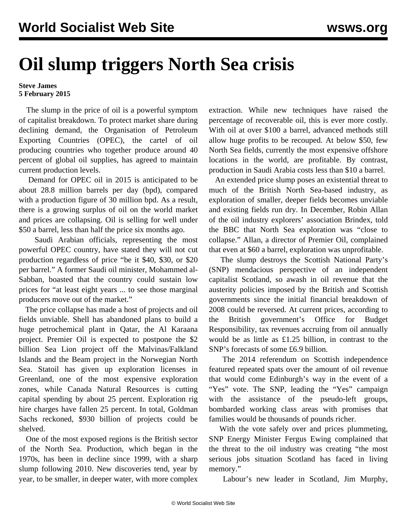## **Oil slump triggers North Sea crisis**

## **Steve James 5 February 2015**

 The slump in the price of oil is a powerful symptom of capitalist breakdown. To protect market share during declining demand, the Organisation of Petroleum Exporting Countries (OPEC), the cartel of oil producing countries who together produce around 40 percent of global oil supplies, has agreed to maintain current production levels.

 Demand for OPEC oil in 2015 is anticipated to be about 28.8 million barrels per day (bpd), compared with a production figure of 30 million bpd. As a result, there is a growing surplus of oil on the world market and prices are collapsing. Oil is selling for well under \$50 a barrel, less than half the price six months ago.

 Saudi Arabian officials, representing the most powerful OPEC country, have stated they will not cut production regardless of price "be it \$40, \$30, or \$20 per barrel." A former Saudi oil minister, Mohammed al-Sabban, boasted that the country could sustain low prices for "at least eight years ... to see those marginal producers move out of the market."

 The price collapse has made a host of projects and oil fields unviable. Shell has abandoned plans to build a huge petrochemical plant in Qatar, the Al Karaana project. Premier Oil is expected to postpone the \$2 billion Sea Lion project off the Malvinas/Falkland Islands and the Beam project in the Norwegian North Sea. Statoil has given up exploration licenses in Greenland, one of the most expensive exploration zones, while Canada Natural Resources is cutting capital spending by about 25 percent. Exploration rig hire charges have fallen 25 percent. In total, Goldman Sachs reckoned, \$930 billion of projects could be shelved.

 One of the most exposed regions is the British sector of the North Sea. Production, which began in the 1970s, has been in decline since 1999, with a sharp slump following 2010. New discoveries tend, year by year, to be smaller, in deeper water, with more complex

extraction. While new techniques have raised the percentage of recoverable oil, this is ever more costly. With oil at over \$100 a barrel, advanced methods still allow huge profits to be recouped. At below \$50, few North Sea fields, currently the most expensive offshore locations in the world, are profitable. By contrast, production in Saudi Arabia costs less than \$10 a barrel.

 An extended price slump poses an existential threat to much of the British North Sea-based industry, as exploration of smaller, deeper fields becomes unviable and existing fields run dry. In December, Robin Allan of the oil industry explorers' association Brindex, told the BBC that North Sea exploration was "close to collapse." Allan, a director of Premier Oil, complained that even at \$60 a barrel, exploration was unprofitable.

 The slump destroys the Scottish National Party's (SNP) mendacious perspective of an independent capitalist Scotland, so awash in oil revenue that the austerity policies imposed by the British and Scottish governments since the initial financial breakdown of 2008 could be reversed. At current prices, according to the British government's Office for Budget Responsibility, tax revenues accruing from oil annually would be as little as £1.25 billion, in contrast to the SNP's forecasts of some £6.9 billion.

 The 2014 referendum on Scottish independence featured repeated spats over the amount of oil revenue that would come Edinburgh's way in the event of a "Yes" vote. The SNP, leading the "Yes" campaign with the assistance of the pseudo-left groups, bombarded working class areas with promises that families would be thousands of pounds richer.

 With the vote safely over and prices plummeting, SNP Energy Minister Fergus Ewing complained that the threat to the oil industry was creating "the most serious jobs situation Scotland has faced in living memory."

Labour's new leader in Scotland, Jim Murphy,